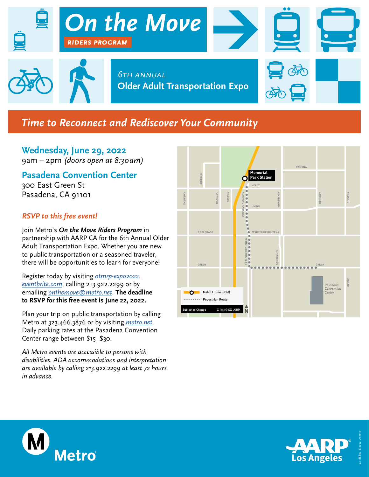

## **Time to Reconnect and Rediscover Your Community**

**Wednesday, June 29, 2022** 9am – 2pm *(doors open at 8:30am)*

**Pasadena Convention Center**

300 East Green St Pasadena, CA 91101

## *RSVP to this free event!*

Join Metro's *On the Move Riders Program* in partnership with AARP CA for the 6th Annual Older Adult Transportation Expo. Whether you are new to public transportation or a seasoned traveler, there will be opportunities to learn for everyone!

Register today by visiting *[otmrp-expo2022.](http://otmrp-expo2022.eventbrite.com) [eventbrite.com](http://otmrp-expo2022. eventbrite.com)*, calling 213.922.2299 or by emailing *[onthemove@metro.net](mailto:onthemove%40metro.net?subject=)*. **The deadline to RSVP for this free event is June 22, 2022.** 

Plan your trip on public transportation by calling Metro at 323.466.3876 or by visiting *[metro.net](http://metro.net)*. Daily parking rates at the Pasadena Convention Center range between \$15–\$30.

*All Metro events are accessible to persons with disabilities. ADA accommodations and interpretation are available by calling 213.922.2299 at least 72 hours in advance.*